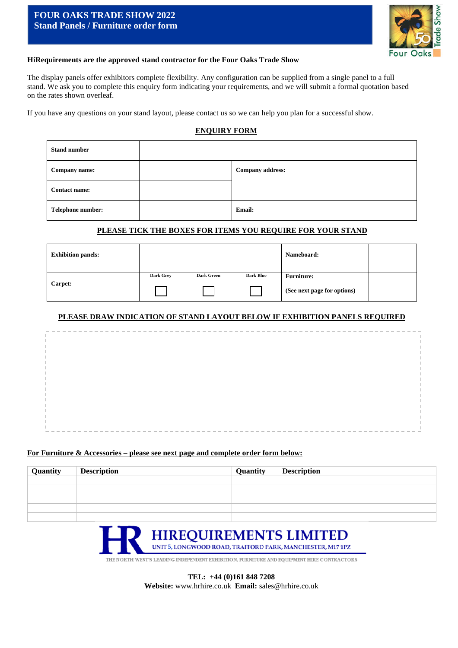# **FOUR OAKS TRADE SHOW 2022 Stand Panels / Furniture order form**



#### **HiRequirements are the approved stand contractor for the Four Oaks Trade Show**

The display panels offer exhibitors complete flexibility. Any configuration can be supplied from a single panel to a full stand. We ask you to complete this enquiry form indicating your requirements, and we will submit a formal quotation based on the rates shown overleaf.

If you have any questions on your stand layout, please contact us so we can help you plan for a successful show.

## **ENQUIRY FORM**

| <b>Stand number</b> |                  |
|---------------------|------------------|
| Company name:       | Company address: |
| Contact name:       |                  |
| Telephone number:   | Email:           |

## **PLEASE TICK THE BOXES FOR ITEMS YOU REQUIRE FOR YOUR STAND**

| <b>Exhibition panels:</b> |           |                   |                  | Nameboard:                                       |  |
|---------------------------|-----------|-------------------|------------------|--------------------------------------------------|--|
| Carpet:                   | Dark Grey | <b>Dark Green</b> | <b>Dark Blue</b> | <b>Furniture:</b><br>(See next page for options) |  |

## **PLEASE DRAW INDICATION OF STAND LAYOUT BELOW IF EXHIBITION PANELS REQUIRED**

|  |  |  |  |  |  |  |  | <b>STATES</b> | <b>Contract Contract Contract</b> | <b>Contract Contract</b> | ____ |  |  |  |  |  |  |  |  |  |  |  |  |  |  |  |  |  |  |  |  |  |  |  |  |  |  |  |
|--|--|--|--|--|--|--|--|---------------|-----------------------------------|--------------------------|------|--|--|--|--|--|--|--|--|--|--|--|--|--|--|--|--|--|--|--|--|--|--|--|--|--|--|--|

#### **For Furniture & Accessories – please see next page and complete order form below:**

| <b>Quantity</b> | <b>Description</b> | Quantity | <b>Description</b> |
|-----------------|--------------------|----------|--------------------|
|                 |                    |          |                    |
|                 |                    |          |                    |
|                 |                    |          |                    |
|                 |                    |          |                    |
|                 |                    |          |                    |



THE NORTH WEST'S LEADING INDEPENDENT EXHIBITION, FURNITURE AND EQUIPMENT HIRE CONTRACTORS

**TEL: +44 (0)161 848 7208 Website:** www.hrhire.co.uk **Email:** sales@hrhire.co.uk